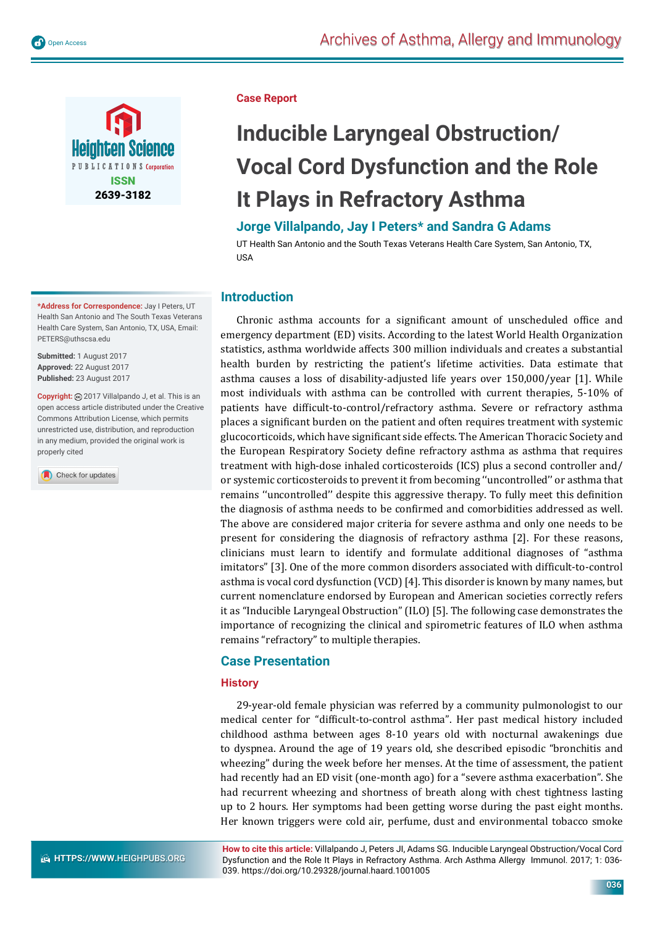





**\*Address for Correspondence:** Jay I Peters, UT Health San Antonio and The South Texas Veterans Health Care System, San Antonio, TX, USA, Email: PETERS@uthscsa.edu

**Submitted:** 1 August 2017 **Approved:** 22 August 2017 **Published:** 23 August 2017

Copyright: @ 2017 Villalpando J, et al. This is an open access article distributed under the Creative Commons Attribution License, which permits unrestricted use, distribution, and reproduction in any medium, provided the original work is properly cited

Check for updates

#### **Case Report**

# **Inducible Laryngeal Obstruction/ Vocal Cord Dysfunction and the Role It Plays in Refractory Asthma**

## **Jorge Villalpando, Jay I Peters\* and Sandra G Adams**

UT Health San Antonio and the South Texas Veterans Health Care System, San Antonio, TX, USA

## **Introduction**

Chronic asthma accounts for a significant amount of unscheduled office and emergency department (ED) visits. According to the latest World Health Organization statistics, asthma worldwide affects 300 million individuals and creates a substantial health burden by restricting the patient's lifetime activities. Data estimate that asthma causes a loss of disability-adjusted life years over 150,000/year [1]. While most individuals with asthma can be controlled with current therapies, 5-10% of patients have difficult-to-control/refractory asthma. Severe or refractory asthma places a significant burden on the patient and often requires treatment with systemic glucocorticoids, which have significant side effects. The American Thoracic Society and the European Respiratory Society define refractory asthma as asthma that requires treatment with high-dose inhaled corticosteroids (ICS) plus a second controller and/ or systemic corticosteroids to prevent it from becoming ''uncontrolled'' or asthma that remains "uncontrolled" despite this aggressive therapy. To fully meet this definition the diagnosis of asthma needs to be confirmed and comorbidities addressed as well. The above are considered major criteria for severe asthma and only one needs to be present for considering the diagnosis of refractory asthma [2]. For these reasons, clinicians must learn to identify and formulate additional diagnoses of "asthma imitators" [3]. One of the more common disorders associated with difficult-to-control asthma is vocal cord dysfunction (VCD) [4]. This disorder is known by many names, but current nomenclature endorsed by European and American societies correctly refers it as "Inducible Laryngeal Obstruction" (ILO) [5]. The following case demonstrates the importance of recognizing the clinical and spirometric features of ILO when asthma remains "refractory" to multiple therapies.

## **Case Presentation**

#### **History**

29-year-old female physician was referred by a community pulmonologist to our medical center for "difficult-to-control asthma". Her past medical history included childhood asthma between ages 8-10 years old with nocturnal awakenings due to dyspnea. Around the age of 19 years old, she described episodic "bronchitis and wheezing" during the week before her menses. At the time of assessment, the patient had recently had an ED visit (one-month ago) for a "severe asthma exacerbation". She had recurrent wheezing and shortness of breath along with chest tightness lasting up to 2 hours. Her symptoms had been getting worse during the past eight months. Her known triggers were cold air, perfume, dust and environmental tobacco smoke

**How to cite this article:** Villalpando J, Peters JI, Adams SG. Inducible Laryngeal Obstruction/Vocal Cord Dysfunction and the Role It Plays in Refractory Asthma. Arch Asthma Allergy Immunol. 2017; 1: 036- 039. https://doi.org/10.29328/journal.haard.1001005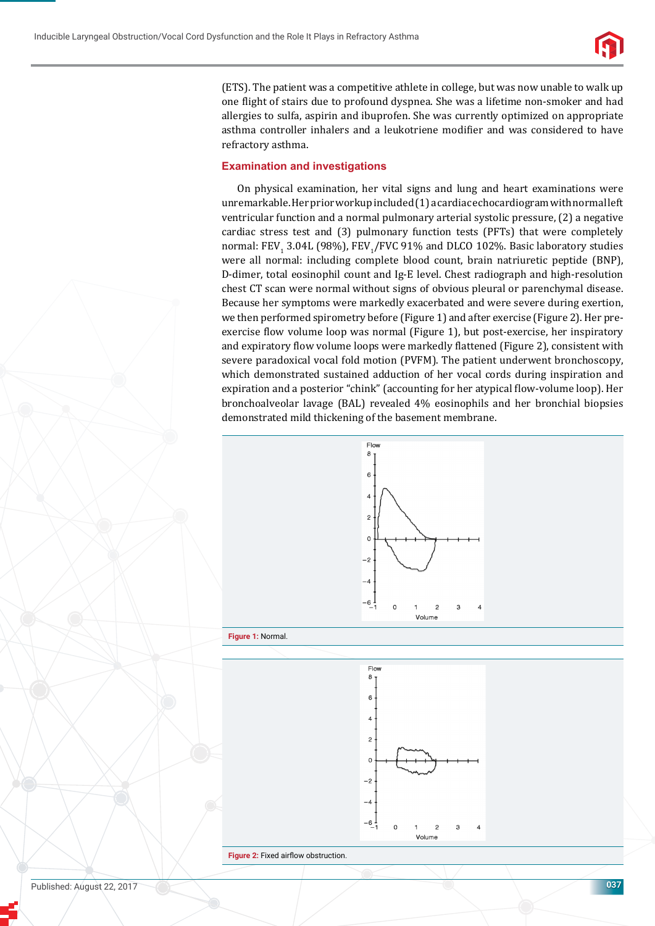

(ETS). The patient was a competitive athlete in college, but was now unable to walk up one flight of stairs due to profound dyspnea. She was a lifetime non-smoker and had allergies to sulfa, aspirin and ibuprofen. She was currently optimized on appropriate asthma controller inhalers and a leukotriene modifier and was considered to have refractory asthma.

#### **Examination and investigations**

On physical examination, her vital signs and lung and heart examinations were unremarkable. Her prior workup included (1) a cardiac echocardiogram with normal left ventricular function and a normal pulmonary arterial systolic pressure, (2) a negative cardiac stress test and (3) pulmonary function tests (PFTs) that were completely normal: FEV $_{\rm_1}$  3.04L (98%), FEV $_{\rm_1}$ /FVC 91% and DLCO 102%. Basic laboratory studies were all normal: including complete blood count, brain natriuretic peptide (BNP), D-dimer, total eosinophil count and Ig-E level. Chest radiograph and high-resolution chest CT scan were normal without signs of obvious pleural or parenchymal disease. Because her symptoms were markedly exacerbated and were severe during exertion, we then performed spirometry before (Figure 1) and after exercise (Figure 2). Her preexercise flow volume loop was normal (Figure 1), but post-exercise, her inspiratory and expiratory flow volume loops were markedly flattened (Figure 2), consistent with severe paradoxical vocal fold motion (PVFM). The patient underwent bronchoscopy, which demonstrated sustained adduction of her vocal cords during inspiration and expiration and a posterior "chink" (accounting for her atypical flow-volume loop). Her bronchoalveolar lavage (BAL) revealed 4% eosinophils and her bronchial biopsies demonstrated mild thickening of the basement membrane.





**Figure 2:** Fixed airflow obstruction.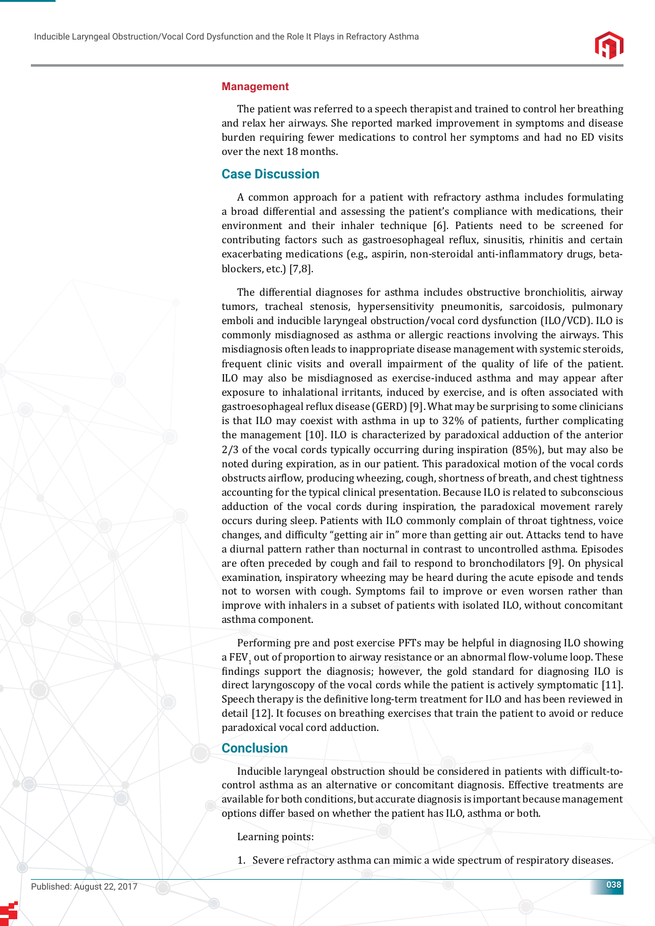

#### **Management**

The patient was referred to a speech therapist and trained to control her breathing and relax her airways. She reported marked improvement in symptoms and disease burden requiring fewer medications to control her symptoms and had no ED visits over the next 18 months.

## **Case Discussion**

A common approach for a patient with refractory asthma includes formulating a broad differential and assessing the patient's compliance with medications, their environment and their inhaler technique [6]. Patients need to be screened for contributing factors such as gastroesophageal reϐlux, sinusitis, rhinitis and certain exacerbating medications (e.g., aspirin, non-steroidal anti-inflammatory drugs, betablockers, etc.) [7,8].

The differential diagnoses for asthma includes obstructive bronchiolitis, airway tumors, tracheal stenosis, hypersensitivity pneumonitis, sarcoidosis, pulmonary emboli and inducible laryngeal obstruction/vocal cord dysfunction (ILO/VCD). ILO is commonly misdiagnosed as asthma or allergic reactions involving the airways. This misdiagnosis often leads to inappropriate disease management with systemic steroids, frequent clinic visits and overall impairment of the quality of life of the patient. ILO may also be misdiagnosed as exercise-induced asthma and may appear after exposure to inhalational irritants, induced by exercise, and is often associated with gastroesophageal reflux disease (GERD) [9]. What may be surprising to some clinicians is that ILO may coexist with asthma in up to 32% of patients, further complicating the management [10]. ILO is characterized by paradoxical adduction of the anterior 2/3 of the vocal cords typically occurring during inspiration (85%), but may also be noted during expiration, as in our patient. This paradoxical motion of the vocal cords obstructs airflow, producing wheezing, cough, shortness of breath, and chest tightness accounting for the typical clinical presentation. Because ILO is related to subconscious adduction of the vocal cords during inspiration, the paradoxical movement rarely occurs during sleep. Patients with ILO commonly complain of throat tightness, voice changes, and difficulty "getting air in" more than getting air out. Attacks tend to have a diurnal pattern rather than nocturnal in contrast to uncontrolled asthma. Episodes are often preceded by cough and fail to respond to bronchodilators [9]. On physical examination, inspiratory wheezing may be heard during the acute episode and tends not to worsen with cough. Symptoms fail to improve or even worsen rather than improve with inhalers in a subset of patients with isolated ILO, without concomitant asthma component.

Performing pre and post exercise PFTs may be helpful in diagnosing ILO showing a FEV $_{\rm_1}$  out of proportion to airway resistance or an abnormal flow-volume loop. These findings support the diagnosis; however, the gold standard for diagnosing ILO is direct laryngoscopy of the vocal cords while the patient is actively symptomatic [11]. Speech therapy is the definitive long-term treatment for ILO and has been reviewed in detail [12]. It focuses on breathing exercises that train the patient to avoid or reduce paradoxical vocal cord adduction.

### **Conclusion**

Inducible laryngeal obstruction should be considered in patients with difficult-tocontrol asthma as an alternative or concomitant diagnosis. Effective treatments are available for both conditions, but accurate diagnosis is important because management options differ based on whether the patient has ILO, asthma or both.

Learning points:

1. Severe refractory asthma can mimic a wide spectrum of respiratory diseases.